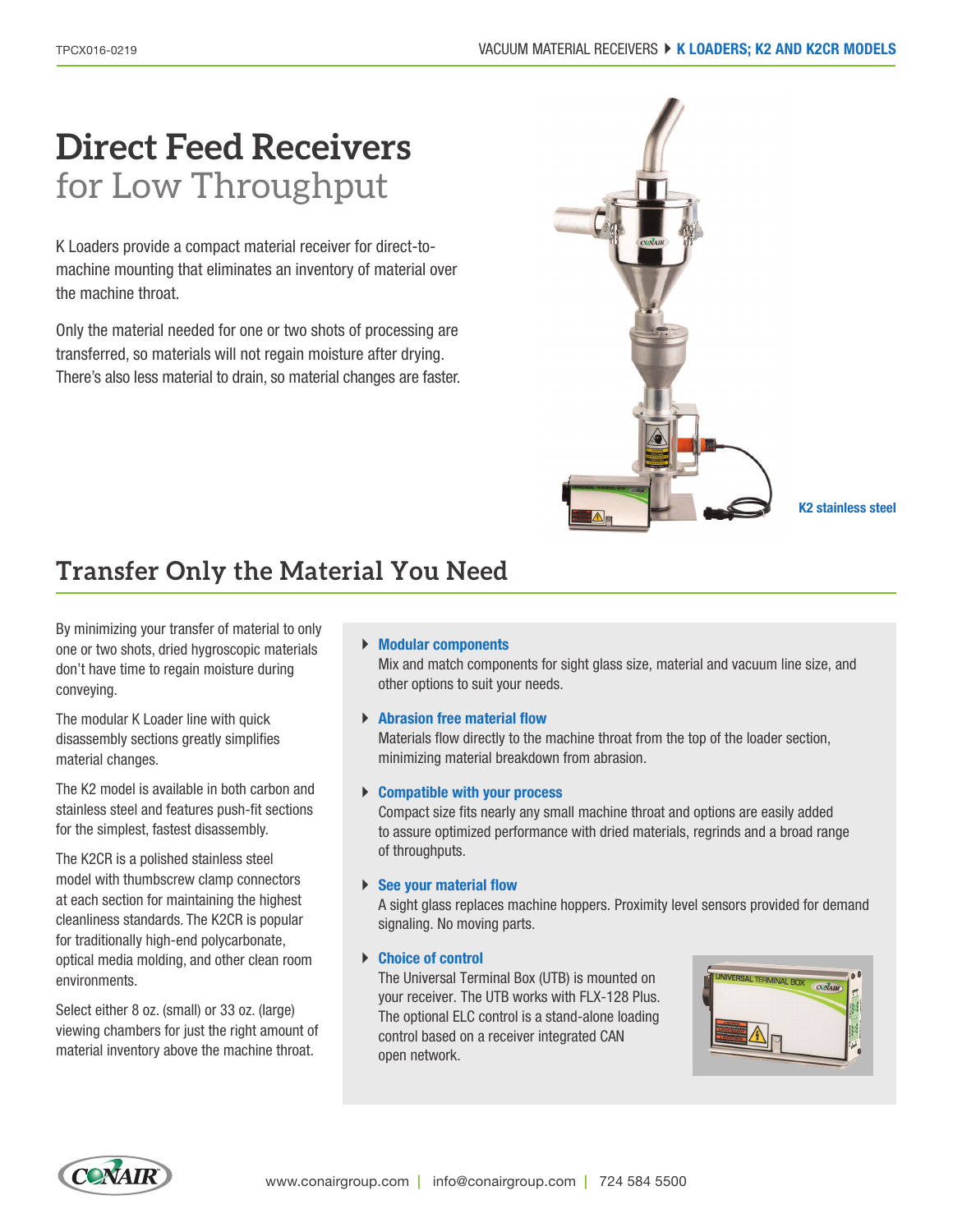# **Direct Feed Receivers** for Low Throughput

K Loaders provide a compact material receiver for direct-tomachine mounting that eliminates an inventory of material over the machine throat.

Only the material needed for one or two shots of processing are transferred, so materials will not regain moisture after drying. There's also less material to drain, so material changes are faster.



# **Transfer Only the Material You Need**

By minimizing your transfer of material to only one or two shots, dried hygroscopic materials don't have time to regain moisture during conveying.

The modular K Loader line with quick disassembly sections greatly simplifies material changes.

The K2 model is available in both carbon and stainless steel and features push-fit sections for the simplest, fastest disassembly.

The K2CR is a polished stainless steel model with thumbscrew clamp connectors at each section for maintaining the highest cleanliness standards. The K2CR is popular for traditionally high-end polycarbonate, optical media molding, and other clean room environments.

Select either 8 oz. (small) or 33 oz. (large) viewing chambers for just the right amount of material inventory above the machine throat.

#### ` **Modular components**

Mix and match components for sight glass size, material and vacuum line size, and other options to suit your needs.

### ` **Abrasion free material flow**

Materials flow directly to the machine throat from the top of the loader section, minimizing material breakdown from abrasion.

#### ` **Compatible with your process**

Compact size fits nearly any small machine throat and options are easily added to assure optimized performance with dried materials, regrinds and a broad range of throughputs.

#### ▶ See your material flow

A sight glass replaces machine hoppers. Proximity level sensors provided for demand signaling. No moving parts.

#### ` **Choice of control**

The Universal Terminal Box (UTB) is mounted on your receiver. The UTB works with FLX-128 Plus. The optional ELC control is a stand-alone loading control based on a receiver integrated CAN open network.